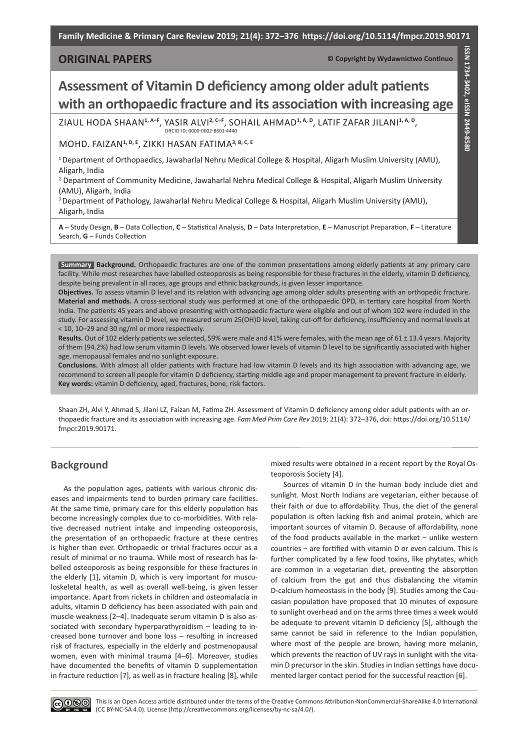**Family Medicine & Primary Care Review 2019; 21(4): 372–376 https://doi.org/10.5114/fmpcr.2019.90171**

# **ORIGINAL PAPERS**

**© Copyright by Wydawnictwo Continuo**

# **Assessment of Vitamin D deficiency among older adult patients with an orthopaedic fracture and its association with increasing age**

Ziaul Hoda Shaan**1, A–F**, Yasir Alvi**2, C–F**, Sohail Ahmad**1, A, D**, Latif Zafar Jilani**1, A, D**, orcid id: 0000-0002-8601-4440

### Mohd. Faizan**1, D, E**, Zikki Hasan Fatima**3, B, C, E**

<sup>1</sup>Department of Orthopaedics, Jawaharlal Nehru Medical College & Hospital, Aligarh Muslim University (AMU), Aligarh, India

<sup>2</sup> Department of Community Medicine, Jawaharlal Nehru Medical College & Hospital, Aligarh Muslim University (AMU), Aligarh, India

<sup>3</sup> Department of Pathology, Jawaharlal Nehru Medical College & Hospital, Aligarh Muslim University (AMU), Aligarh, India

**A** – Study Design, **B** – Data Collection, **C** – Statistical Analysis, **D** – Data Interpretation, **E** – Manuscript Preparation, **F** – Literature Search, **G** – Funds Collection

**Background.** Orthopaedic fractures are one of the common presentations among elderly patients at any primary care **Summary** facility. While most researches have labelled osteoporosis as being responsible for these fractures in the elderly, vitamin D deficiency, despite being prevalent in all races, age groups and ethnic backgrounds, is given lesser importance.

**Objectives.** To assess vitamin D level and its relation with advancing age among older adults presenting with an orthopedic fracture. **Material and methods.** A cross-sectional study was performed at one of the orthopaedic OPD, in tertiary care hospital from North India. The patients 45 years and above presenting with orthopaedic fracture were eligible and out of whom 102 were included in the study. For assessing vitamin D level, we measured serum 25(OH)D level, taking cut-off for deficiency, insufficiency and normal levels at < 10, 10–29 and 30 ng/ml or more respectively.

**Results.** Out of 102 elderly patients we selected, 59% were male and 41% were females, with the mean age of 61 ± 13.4 years. Majority of them (94.2%) had low serum vitamin D levels. We observed lower levels of vitamin D level to be significantly associated with higher age, menopausal females and no sunlight exposure.

**Conclusions.** With almost all older patients with fracture had low vitamin D levels and its high association with advancing age, we recommend to screen all people for vitamin D deficiency, starting middle age and proper management to prevent fracture in elderly. **Key words:** vitamin D deficiency, aged, fractures, bone, risk factors.

Shaan ZH, Alvi Y, Ahmad S, Jilani LZ, Faizan M, Fatima ZH. Assessment of Vitamin D deficiency among older adult patients with an orthopaedic fracture and its association with increasing age. *Fam Med Prim Care Rev* 2019; 21(4): 372–376, doi: https://doi.org/10.5114/ fmpcr.2019.90171.

# **Background**

As the population ages, patients with various chronic diseases and impairments tend to burden primary care facilities. At the same time, primary care for this elderly population has become increasingly complex due to co-morbidities. With relative decreased nutrient intake and impending osteoporosis, the presentation of an orthopaedic fracture at these centres is higher than ever. Orthopaedic or trivial fractures occur as a result of minimal or no trauma. While most of research has labelled osteoporosis as being responsible for these fractures in the elderly [1], vitamin D, which is very important for musculoskeletal health, as well as overall well-being, is given lesser importance. Apart from rickets in children and osteomalacia in adults, vitamin D deficiency has been associated with pain and muscle weakness [2–4]. Inadequate serum vitamin D is also associated with secondary hyperparathyroidism – leading to increased bone turnover and bone loss – resulting in increased risk of fractures, especially in the elderly and postmenopausal women, even with minimal trauma [4–6]. Moreover, studies have documented the benefits of vitamin D supplementation in fracture reduction [7], as well as in fracture healing [8], while mixed results were obtained in a recent report by the Royal Osteoporosis Society [4].

Sources of vitamin D in the human body include diet and sunlight. Most North Indians are vegetarian, either because of their faith or due to affordability. Thus, the diet of the general population is often lacking fish and animal protein, which are important sources of vitamin D. Because of affordability, none of the food products available in the market – unlike western countries – are fortified with vitamin D or even calcium. This is further complicated by a few food toxins, like phytates, which are common in a vegetarian diet, preventing the absorption of calcium from the gut and thus disbalancing the vitamin D-calcium homeostasis in the body [9]. Studies among the Caucasian population have proposed that 10 minutes of exposure to sunlight overhead and on the arms three times a week would be adequate to prevent vitamin D deficiency [5], although the same cannot be said in reference to the Indian population, where most of the people are brown, having more melanin, which prevents the reaction of UV rays in sunlight with the vitamin D precursor in the skin. Studies in Indian settings have documented larger contact period for the successful reaction [6].

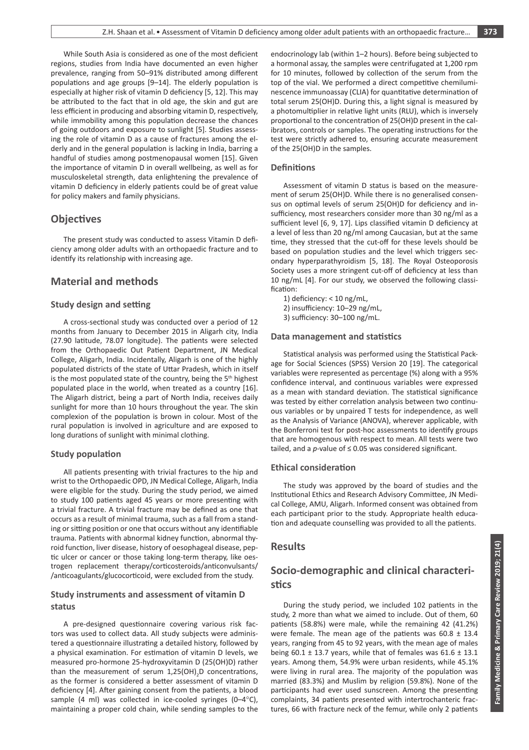While South Asia is considered as one of the most deficient regions, studies from India have documented an even higher prevalence, ranging from 50–91% distributed among different populations and age groups [9–14]. The elderly population is especially at higher risk of vitamin D deficiency [5, 12]. This may be attributed to the fact that in old age, the skin and gut are less efficient in producing and absorbing vitamin D, respectively, while immobility among this population decrease the chances of going outdoors and exposure to sunlight [5]. Studies assessing the role of vitamin D as a cause of fractures among the elderly and in the general population is lacking in India, barring a handful of studies among postmenopausal women [15]. Given the importance of vitamin D in overall wellbeing, as well as for musculoskeletal strength, data enlightening the prevalence of vitamin D deficiency in elderly patients could be of great value for policy makers and family physicians.

# **Objectives**

The present study was conducted to assess Vitamin D deficiency among older adults with an orthopaedic fracture and to identify its relationship with increasing age.

# **Material and methods**

### **Study design and setting**

A cross-sectional study was conducted over a period of 12 months from January to December 2015 in Aligarh city, India (27.90 latitude, 78.07 longitude). The patients were selected from the Orthopaedic Out Patient Department, JN Medical College, Aligarh, India. Incidentally, Aligarh is one of the highly populated districts of the state of Uttar Pradesh, which in itself is the most populated state of the country, being the  $5<sup>th</sup>$  highest populated place in the world, when treated as a country [16]. The Aligarh district, being a part of North India, receives daily sunlight for more than 10 hours throughout the year. The skin complexion of the population is brown in colour. Most of the rural population is involved in agriculture and are exposed to long durations of sunlight with minimal clothing.

## **Study population**

All patients presenting with trivial fractures to the hip and wrist to the Orthopaedic OPD, JN Medical College, Aligarh, India were eligible for the study. During the study period, we aimed to study 100 patients aged 45 years or more presenting with a trivial fracture. A trivial fracture may be defined as one that occurs as a result of minimal trauma, such as a fall from a standing or sitting position or one that occurs without any identifiable trauma. Patients with abnormal kidney function, abnormal thyroid function, liver disease, history of oesophageal disease, peptic ulcer or cancer or those taking long-term therapy, like oestrogen replacement therapy/corticosteroids/anticonvulsants/ /anticoagulants/glucocorticoid, were excluded from the study.

# **Study instruments and assessment of vitamin D status**

A pre-designed questionnaire covering various risk factors was used to collect data. All study subjects were administered a questionnaire illustrating a detailed history, followed by a physical examination. For estimation of vitamin D levels, we measured pro-hormone 25-hydroxyvitamin D (25(OH)D) rather than the measurement of serum  $1,25(OH)_{2}D$  concentrations, as the former is considered a better assessment of vitamin D deficiency [4]. After gaining consent from the patients, a blood sample (4 ml) was collected in ice-cooled syringes (0-4 $\textdegree$ C), maintaining a proper cold chain, while sending samples to the

endocrinology lab (within 1–2 hours). Before being subjected to a hormonal assay, the samples were centrifugated at 1,200 rpm for 10 minutes, followed by collection of the serum from the top of the vial. We performed a direct competitive chemiluminescence immunoassay (CLIA) for quantitative determination of total serum 25(OH)D. During this, a light signal is measured by a photomultiplier in relative light units (RLU), which is inversely proportional to the concentration of 25(OH)D present in the calibrators, controls or samples. The operating instructions for the test were strictly adhered to, ensuring accurate measurement of the 25(OH)D in the samples.

# **Definitions**

Assessment of vitamin D status is based on the measurement of serum 25(OH)D. While there is no generalised consensus on optimal levels of serum 25(OH)D for deficiency and insufficiency, most researchers consider more than 30 ng/ml as a sufficient level [6, 9, 17]. Lips classified vitamin D deficiency at a level of less than 20 ng/ml among Caucasian, but at the same time, they stressed that the cut-off for these levels should be based on population studies and the level which triggers secondary hyperparathyroidism [5, 18]. The Royal Osteoporosis Society uses a more stringent cut-off of deficiency at less than 10 ng/mL [4]. For our study, we observed the following classification:

1) deficiency: < 10 ng/mL,

2) insufficiency: 10–29 ng/mL,

3) sufficiency: 30–100 ng/mL.

#### **Data management and statistics**

Statistical analysis was performed using the Statistical Package for Social Sciences (SPSS) Version 20 [19]. The categorical variables were represented as percentage (%) along with a 95% confidence interval, and continuous variables were expressed as a mean with standard deviation. The statistical significance was tested by either correlation analysis between two continuous variables or by unpaired T tests for independence, as well as the Analysis of Variance (ANOVA), wherever applicable, with the Bonferroni test for post-hoc assessments to identify groups that are homogenous with respect to mean. All tests were two tailed, and a *p*-value of ≤ 0.05 was considered significant.

#### **Ethical consideration**

The study was approved by the board of studies and the Institutional Ethics and Research Advisory Committee, JN Medical College, AMU, Aligarh. Informed consent was obtained from each participant prior to the study. Appropriate health education and adequate counselling was provided to all the patients.

# **Results**

# **Socio-demographic and clinical characteristics**

During the study period, we included 102 patients in the study, 2 more than what we aimed to include. Out of them, 60 patients (58.8%) were male, while the remaining 42 (41.2%) were female. The mean age of the patients was  $60.8 \pm 13.4$ years, ranging from 45 to 92 years, with the mean age of males being 60.1  $\pm$  13.7 years, while that of females was 61.6  $\pm$  13.1 years. Among them, 54.9% were urban residents, while 45.1% were living in rural area. The majority of the population was married (83.3%) and Muslim by religion (59.8%). None of the participants had ever used sunscreen. Among the presenting complaints, 34 patients presented with intertrochanteric fractures, 66 with fracture neck of the femur, while only 2 patients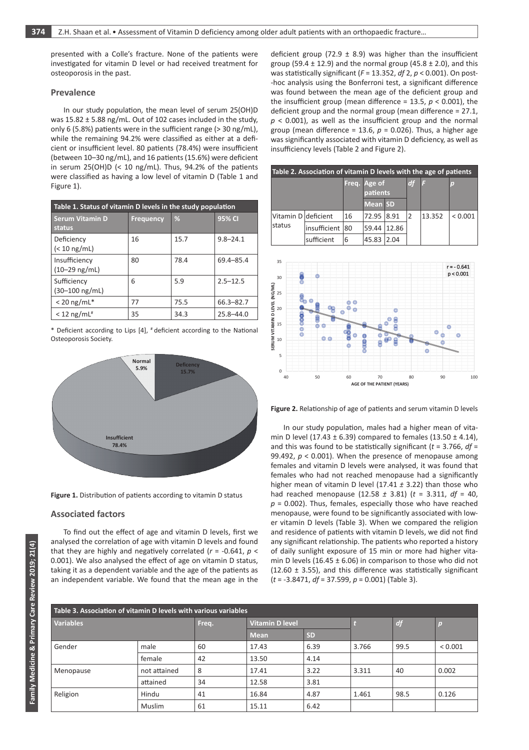presented with a Colle's fracture. None of the patients were investigated for vitamin D level or had received treatment for osteoporosis in the past.

### **Prevalence**

In our study population, the mean level of serum 25(OH)D was 15.82 ± 5.88 ng/mL. Out of 102 cases included in the study, only 6 (5.8%) patients were in the sufficient range (> 30 ng/mL), while the remaining 94.2% were classified as either at a deficient or insufficient level. 80 patients (78.4%) were insufficient (between 10–30 ng/mL), and 16 patients (15.6%) were deficient in serum  $25(OH)D$  (< 10 ng/mL). Thus, 94.2% of the patients were classified as having a low level of vitamin D (Table 1 and Figure 1).

| Table 1. Status of vitamin D levels in the study population |                  |      |               |  |  |  |
|-------------------------------------------------------------|------------------|------|---------------|--|--|--|
| <b>Serum Vitamin D</b><br>status                            | <b>Frequency</b> | %    | 95% CI        |  |  |  |
| Deficiency<br>$(< 10 \text{ ng/mL})$                        | 16               | 15.7 | $9.8 - 24.1$  |  |  |  |
| Insufficiency<br>$(10-29 \text{ ng/mL})$                    | 80               | 78.4 | $69.4 - 85.4$ |  |  |  |
| Sufficiency<br>$(30 - 100 \text{ ng/mL})$                   | 6                | 5.9  | $2.5 - 12.5$  |  |  |  |
| $< 20$ ng/mL*                                               | 77               | 75.5 | $66.3 - 82.7$ |  |  |  |
| $< 12$ ng/mL <sup>#</sup>                                   | 35               | 34.3 | $25.8 - 44.0$ |  |  |  |

\* Deficient according to Lips [4], # deficient according to the National Osteoporosis Society.



**Figure 1.** Distribution of patients according to vitamin D status

#### **Associated factors**

To find out the effect of age and vitamin D levels, first we analysed the correlation of age with vitamin D levels and found that they are highly and negatively correlated (*r* = -0.641, *p* < 0.001). We also analysed the effect of age on vitamin D status, taking it as a dependent variable and the age of the patients as an independent variable. We found that the mean age in the

deficient group (72.9  $\pm$  8.9) was higher than the insufficient group (59.4  $\pm$  12.9) and the normal group (45.8  $\pm$  2.0), and this was statistically significant (*F* = 13.352, *df* 2, *p* < 0.001). On post- -hoc analysis using the Bonferroni test, a significant difference was found between the mean age of the deficient group and the insufficient group (mean difference = 13.5, *p* < 0.001), the deficient group and the normal group (mean difference = 27.1,  $p$  < 0.001), as well as the insufficient group and the normal group (mean difference = 13.6, *p* = 0.026). Thus, a higher age was significantly associated with vitamin D deficiency, as well as insufficiency levels (Table 2 and Figure 2).

| Table 2. Association of vitamin D levels with the age of patients |               |     |                |       |              |        |         |    |  |
|-------------------------------------------------------------------|---------------|-----|----------------|-------|--------------|--------|---------|----|--|
|                                                                   |               |     | patients       |       | Freq. Age of |        |         | Γō |  |
|                                                                   |               |     | <b>Mean SD</b> |       |              |        |         |    |  |
| Vitamin D deficient<br>status                                     |               | 16  | 72.95          | 8.91  | 12           | 13.352 | < 0.001 |    |  |
|                                                                   | linsufficient | 180 | 59.44          | 12.86 |              |        |         |    |  |
|                                                                   | sufficient    | 6   | 45.83          | 2.04  |              |        |         |    |  |



**Figure 2.** Relationship of age of patients and serum vitamin D levels

In our study population, males had a higher mean of vitamin D level (17.43  $\pm$  6.39) compared to females (13.50  $\pm$  4.14), and this was found to be statistically significant (*t* = 3.766, *df* = 99.492, *p* < 0.001). When the presence of menopause among females and vitamin D levels were analysed, it was found that females who had not reached menopause had a significantly higher mean of vitamin D level (17.41 *±* 3.22) than those who had reached menopause (12.58 *±* 3.81) (*t* = 3.311, *df* = 40,  $p = 0.002$ ). Thus, females, especially those who have reached menopause, were found to be significantly associated with lower vitamin D levels (Table 3). When we compared the religion and residence of patients with vitamin D levels, we did not find any significant relationship. The patients who reported a history of daily sunlight exposure of 15 min or more had higher vitamin D levels (16.45  $\pm$  6.06) in comparison to those who did not  $(12.60 \pm 3.55)$ , and this difference was statistically significant (*t* = -3.8471, *df* = 37.599, *p* = 0.001) (Table 3).

| Table 3. Association of vitamin D levels with various variables |              |       |                        |           |       |           |         |  |
|-----------------------------------------------------------------|--------------|-------|------------------------|-----------|-------|-----------|---------|--|
| <b>Variables</b>                                                |              | Freq. | <b>Vitamin D level</b> |           |       | <b>df</b> | p       |  |
|                                                                 |              |       | <b>Mean</b>            | <b>SD</b> |       |           |         |  |
| Gender                                                          | male         | 60    | 17.43                  | 6.39      | 3.766 | 99.5      | < 0.001 |  |
|                                                                 | female       | 42    | 13.50                  | 4.14      |       |           |         |  |
| Menopause                                                       | not attained | 8     | 17.41                  | 3.22      | 3.311 | 40        | 0.002   |  |
|                                                                 | attained     | 34    | 12.58                  | 3.81      |       |           |         |  |
| Religion                                                        | Hindu        | 41    | 16.84                  | 4.87      | 1.461 | 98.5      | 0.126   |  |
|                                                                 | Muslim       | 61    | 15.11                  | 6.42      |       |           |         |  |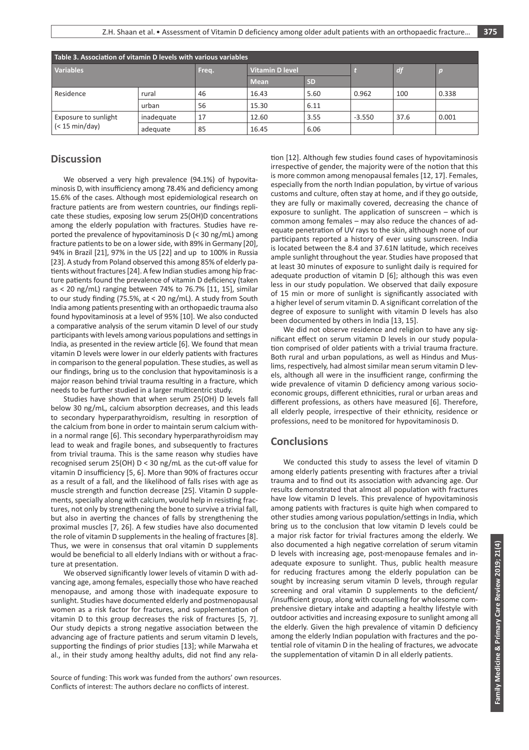| Table 3. Association of vitamin D levels with various variables |            |       |                 |           |          |           |       |  |
|-----------------------------------------------------------------|------------|-------|-----------------|-----------|----------|-----------|-------|--|
| <b>Variables</b>                                                |            | Freq. | Vitamin D level |           |          | <b>GF</b> |       |  |
|                                                                 |            |       | <b>Mean</b>     | <b>SD</b> |          |           |       |  |
| Residence                                                       | rural      | 46    | 16.43           | 5.60      | 0.962    | 100       | 0.338 |  |
|                                                                 | urban      | 56    | 15.30           | 6.11      |          |           |       |  |
| Exposure to sunlight<br>(< 15 min/day)                          | inadequate | 17    | 12.60           | 3.55      | $-3.550$ | 37.6      | 0.001 |  |
|                                                                 | adequate   | 85    | 16.45           | 6.06      |          |           |       |  |

## **Discussion**

We observed a very high prevalence (94.1%) of hypovitaminosis D, with insufficiency among 78.4% and deficiency among 15.6% of the cases. Although most epidemiological research on fracture patients are from western countries, our findings replicate these studies, exposing low serum 25(OH)D concentrations among the elderly population with fractures. Studies have reported the prevalence of hypovitaminosis D (< 30 ng/mL) among fracture patients to be on a lower side, with 89% in Germany [20], 94% in Brazil [21], 97% in the US [22] and up to 100% in Russia [23]. A study from Poland observed this among 85% of elderly patients without fractures [24]. A few Indian studies among hip fracture patients found the prevalence of vitamin D deficiency (taken as < 20 ng/mL) ranging between 74% to 76.7% [11, 15], similar to our study finding (75.5%, at < 20 ng/mL). A study from South India among patients presenting with an orthopaedic trauma also found hypovitaminosis at a level of 95% [10]. We also conducted a comparative analysis of the serum vitamin D level of our study participants with levels among various populations and settings in India, as presented in the review article [6]. We found that mean vitamin D levels were lower in our elderly patients with fractures in comparison to the general population. These studies, as well as our findings, bring us to the conclusion that hypovitaminosis is a major reason behind trivial trauma resulting in a fracture, which needs to be further studied in a larger multicentric study.

Studies have shown that when serum 25(OH) D levels fall below 30 ng/mL, calcium absorption decreases, and this leads to secondary hyperparathyroidism, resulting in resorption of the calcium from bone in order to maintain serum calcium within a normal range [6]. This secondary hyperparathyroidism may lead to weak and fragile bones, and subsequently to fractures from trivial trauma. This is the same reason why studies have recognised serum 25(OH) D < 30 ng/mL as the cut-off value for vitamin D insufficiency [5, 6]. More than 90% of fractures occur as a result of a fall, and the likelihood of falls rises with age as muscle strength and function decrease [25]. Vitamin D supplements, specially along with calcium, would help in resisting fractures, not only by strengthening the bone to survive a trivial fall, but also in averting the chances of falls by strengthening the proximal muscles [7, 26]. A few studies have also documented the role of vitamin D supplements in the healing of fractures [8]. Thus, we were in consensus that oral vitamin D supplements would be beneficial to all elderly Indians with or without a fracture at presentation.

We observed significantly lower levels of vitamin D with advancing age, among females, especially those who have reached menopause, and among those with inadequate exposure to sunlight. Studies have documented elderly and postmenopausal women as a risk factor for fractures, and supplementation of vitamin D to this group decreases the risk of fractures [5, 7]. Our study depicts a strong negative association between the advancing age of fracture patients and serum vitamin D levels, supporting the findings of prior studies [13]; while Marwaha et al., in their study among healthy adults, did not find any rela-

tion [12]. Although few studies found cases of hypovitaminosis irrespective of gender, the majority were of the notion that this is more common among menopausal females [12, 17]. Females, especially from the north Indian population, by virtue of various customs and culture, often stay at home, and if they go outside, they are fully or maximally covered, decreasing the chance of exposure to sunlight. The application of sunscreen – which is common among females – may also reduce the chances of adequate penetration of UV rays to the skin, although none of our participants reported a history of ever using sunscreen. India is located between the 8.4 and 37.61N latitude, which receives ample sunlight throughout the year. Studies have proposed that at least 30 minutes of exposure to sunlight daily is required for adequate production of vitamin D [6]; although this was even less in our study population. We observed that daily exposure of 15 min or more of sunlight is significantly associated with a higher level of serum vitamin D. A significant correlation of the degree of exposure to sunlight with vitamin D levels has also been documented by others in India [13, 15].

We did not observe residence and religion to have any significant effect on serum vitamin D levels in our study population comprised of older patients with a trivial trauma fracture. Both rural and urban populations, as well as Hindus and Muslims, respectively, had almost similar mean serum vitamin D levels, although all were in the insufficient range, confirming the wide prevalence of vitamin D deficiency among various socioeconomic groups, different ethnicities, rural or urban areas and different professions, as others have measured [6]. Therefore, all elderly people, irrespective of their ethnicity, residence or professions, need to be monitored for hypovitaminosis D.

### **Conclusions**

We conducted this study to assess the level of vitamin D among elderly patients presenting with fractures after a trivial trauma and to find out its association with advancing age. Our results demonstrated that almost all population with fractures have low vitamin D levels. This prevalence of hypovitaminosis among patients with fractures is quite high when compared to other studies among various population/settings in India, which bring us to the conclusion that low vitamin D levels could be a major risk factor for trivial fractures among the elderly. We also documented a high negative correlation of serum vitamin D levels with increasing age, post-menopause females and inadequate exposure to sunlight. Thus, public health measure for reducing fractures among the elderly population can be sought by increasing serum vitamin D levels, through regular screening and oral vitamin D supplements to the deficient/ /insufficient group, along with counselling for wholesome comprehensive dietary intake and adapting a healthy lifestyle with outdoor activities and increasing exposure to sunlight among all the elderly. Given the high prevalence of vitamin D deficiency among the elderly Indian population with fractures and the potential role of vitamin D in the healing of fractures, we advocate the supplementation of vitamin D in all elderly patients.

Source of funding: This work was funded from the authors' own resources. Conflicts of interest: The authors declare no conflicts of interest.